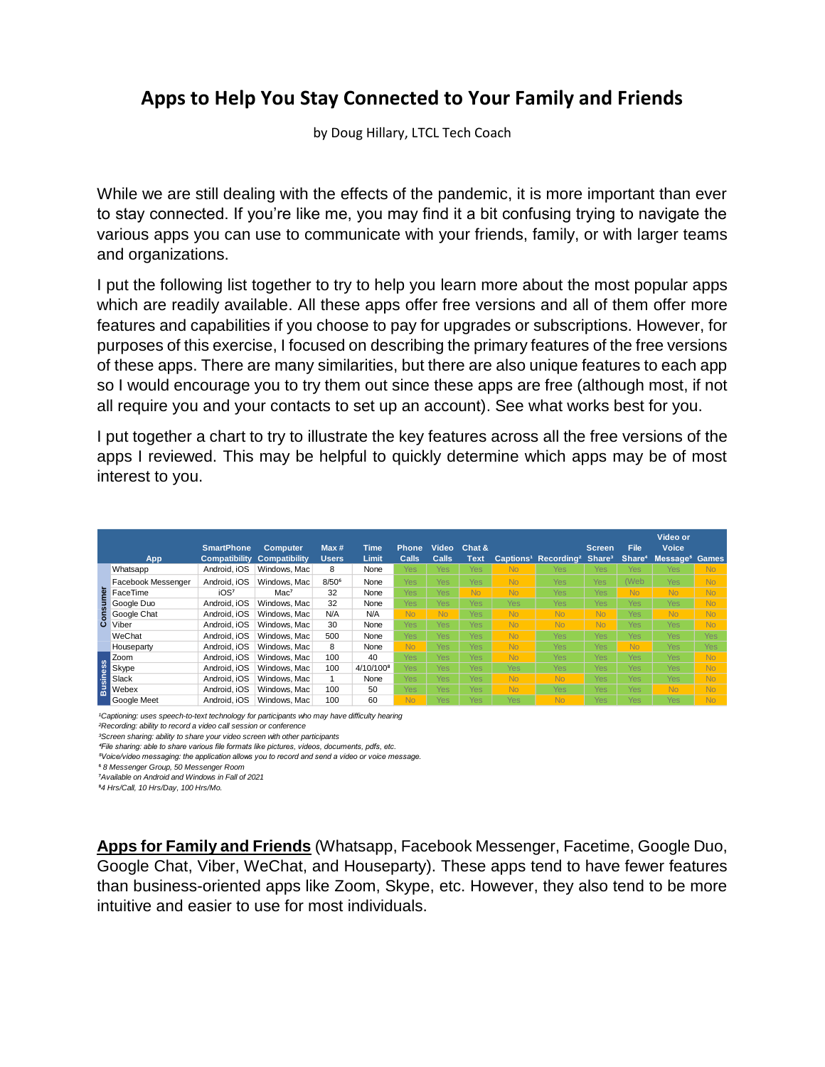## **Apps to Help You Stay Connected to Your Family and Friends**

by Doug Hillary, LTCL Tech Coach

While we are still dealing with the effects of the pandemic, it is more important than ever to stay connected. If you're like me, you may find it a bit confusing trying to navigate the various apps you can use to communicate with your friends, family, or with larger teams and organizations.

I put the following list together to try to help you learn more about the most popular apps which are readily available. All these apps offer free versions and all of them offer more features and capabilities if you choose to pay for upgrades or subscriptions. However, for purposes of this exercise, I focused on describing the primary features of the free versions of these apps. There are many similarities, but there are also unique features to each app so I would encourage you to try them out since these apps are free (although most, if not all require you and your contacts to set up an account). See what works best for you.

I put together a chart to try to illustrate the key features across all the free versions of the apps I reviewed. This may be helpful to quickly determine which apps may be of most interest to you.

|                 | App                                                                                                                                                                                                                                                                                                                                                                                                                                                                                                                                                                                                                                                                            | <b>SmartPhone</b><br><b>Compatibility</b> | <b>Computer</b><br><b>Compatibility</b> | Max#<br><b>Users</b> | <b>Time</b><br>Limit  | <b>Phone</b><br>Calls | Video<br><b>Calls</b> | Chat &<br><b>Text</b> |                | Captions <sup>1</sup> Recording <sup>2</sup> | <b>Screen</b><br>Share <sup>3</sup> | <b>File</b><br>Share <sup>4</sup> | Video or<br>Voice<br>Message <sup>5</sup> Games |                |
|-----------------|--------------------------------------------------------------------------------------------------------------------------------------------------------------------------------------------------------------------------------------------------------------------------------------------------------------------------------------------------------------------------------------------------------------------------------------------------------------------------------------------------------------------------------------------------------------------------------------------------------------------------------------------------------------------------------|-------------------------------------------|-----------------------------------------|----------------------|-----------------------|-----------------------|-----------------------|-----------------------|----------------|----------------------------------------------|-------------------------------------|-----------------------------------|-------------------------------------------------|----------------|
| onsumer<br>ت    | Whatsapp                                                                                                                                                                                                                                                                                                                                                                                                                                                                                                                                                                                                                                                                       | Android, iOS                              | Windows, Mac                            | 8                    | None                  | Yes.                  | <b>Yes</b>            | Yes                   | N <sub>o</sub> | Yes                                          | <b>Yes</b>                          | <b>Yes</b>                        | <b>Yes</b>                                      | N <sub>o</sub> |
|                 | Facebook Messenger                                                                                                                                                                                                                                                                                                                                                                                                                                                                                                                                                                                                                                                             | Android, iOS                              | Windows, Mac                            | $8/50^{6}$           | None                  | <b>Yes</b>            | Yes                   | <b>Yes</b>            | <b>No</b>      | <b>Yes</b>                                   | Yes                                 | (Web                              | Yes                                             | N <sub>o</sub> |
|                 | FaceTime                                                                                                                                                                                                                                                                                                                                                                                                                                                                                                                                                                                                                                                                       | iOS <sup>7</sup>                          | Mac <sup>7</sup>                        | 32                   | None                  | <b>Yes</b>            | Yes                   | <b>No</b>             | <b>No</b>      | <b>Yes</b>                                   | <b>Yes</b>                          | <b>No</b>                         | <b>No</b>                                       | N <sub>o</sub> |
|                 | Google Duo                                                                                                                                                                                                                                                                                                                                                                                                                                                                                                                                                                                                                                                                     | Android, iOS                              | Windows, Mac                            | 32                   | None                  | <b>Yes</b>            | Yes                   | Yes                   | <b>Yes</b>     | <b>Yes</b>                                   | <b>Yes</b>                          | <b>Yes</b>                        | Yes                                             | No             |
|                 | Google Chat                                                                                                                                                                                                                                                                                                                                                                                                                                                                                                                                                                                                                                                                    | Android, iOS                              | Windows, Mac                            | N/A                  | N/A                   | <b>No</b>             | <b>No</b>             | Yes                   | <b>No</b>      | <b>No</b>                                    | <b>No</b>                           | Yes                               | <b>No</b>                                       | N <sub>o</sub> |
|                 | Viber                                                                                                                                                                                                                                                                                                                                                                                                                                                                                                                                                                                                                                                                          | Android, iOS                              | Windows, Mac                            | 30                   | None                  | Yes                   | Yes                   | Yes                   | <b>No</b>      | <b>No</b>                                    | <b>No</b>                           | <b>Yes</b>                        | Yes                                             | N <sub>o</sub> |
|                 | WeChat                                                                                                                                                                                                                                                                                                                                                                                                                                                                                                                                                                                                                                                                         | Android, iOS                              | Windows, Mac                            | 500                  | None                  | Yes                   | Yes                   | Yes                   | <b>No</b>      | <b>Yes</b>                                   | Yes                                 | <b>Yes</b>                        | Yes                                             | <b>Yes</b>     |
|                 | Houseparty                                                                                                                                                                                                                                                                                                                                                                                                                                                                                                                                                                                                                                                                     | Android, iOS                              | Windows, Mac                            | 8                    | None                  | <b>No</b>             | Yes                   | Yes                   | <b>No</b>      | <b>Yes</b>                                   | <b>Yes</b>                          | <b>No</b>                         | <b>Yes</b>                                      | Yes            |
| <b>Business</b> | Zoom                                                                                                                                                                                                                                                                                                                                                                                                                                                                                                                                                                                                                                                                           | Android, iOS                              | Windows, Mac                            | 100                  | 40                    | <b>Yes</b>            | Yes                   | Yes                   | <b>No</b>      | <b>Yes</b>                                   | Yes                                 | <b>Yes</b>                        | Yes                                             | N <sub>o</sub> |
|                 | Skype                                                                                                                                                                                                                                                                                                                                                                                                                                                                                                                                                                                                                                                                          | Android, iOS                              | Windows, Mac                            | 100                  | 4/10/100 <sup>8</sup> | Yes                   | Yes                   | Yes                   | Yes            | <b>Yes</b>                                   | Yes                                 | <b>Yes</b>                        | <b>Yes</b>                                      | N <sub>o</sub> |
|                 | Slack                                                                                                                                                                                                                                                                                                                                                                                                                                                                                                                                                                                                                                                                          | Android, iOS                              | Windows, Mac                            |                      | None                  | <b>Yes</b>            | Yes                   | Yes                   | <b>No</b>      | <b>No</b>                                    | Yes                                 | <b>Yes</b>                        | Yes                                             | N <sub>o</sub> |
|                 | Webex                                                                                                                                                                                                                                                                                                                                                                                                                                                                                                                                                                                                                                                                          | Android. iOS                              | Windows, Mac                            | 100                  | 50                    | <b>Yes</b>            | Yes                   | Yes                   | <b>No</b>      | <b>Yes</b>                                   | Yes                                 | <b>Yes</b>                        | <b>No</b>                                       | N <sub>o</sub> |
|                 | Google Meet                                                                                                                                                                                                                                                                                                                                                                                                                                                                                                                                                                                                                                                                    | Android, iOS                              | Windows, Mac                            | 100                  | 60                    | <b>No</b>             | Yes                   | Yes                   | <b>Yes</b>     | <b>No</b>                                    | <b>Yes</b>                          | <b>Yes</b>                        | Yes                                             | No             |
|                 | <sup>1</sup> Captioning: uses speech-to-text technology for participants who may have difficulty hearing<br><sup>2</sup> Recording: ability to record a video call session or conference<br><sup>3</sup> Screen sharing: ability to share your video screen with other participants<br>"File sharing: able to share various file formats like pictures, videos, documents, pdfs, etc.<br><sup>5</sup> Voice/video messaging: the application allows you to record and send a video or voice message.<br><sup>6</sup> 8 Messenger Group, 50 Messenger Room<br><sup>7</sup> Available on Android and Windows in Fall of 2021<br><sup>8</sup> 4 Hrs/Call, 10 Hrs/Day, 100 Hrs/Mo. |                                           |                                         |                      |                       |                       |                       |                       |                |                                              |                                     |                                   |                                                 |                |

**Apps for Family and Friends** (Whatsapp, Facebook Messenger, Facetime, Google Duo, Google Chat, Viber, WeChat, and Houseparty). These apps tend to have fewer features than business-oriented apps like Zoom, Skype, etc. However, they also tend to be more intuitive and easier to use for most individuals.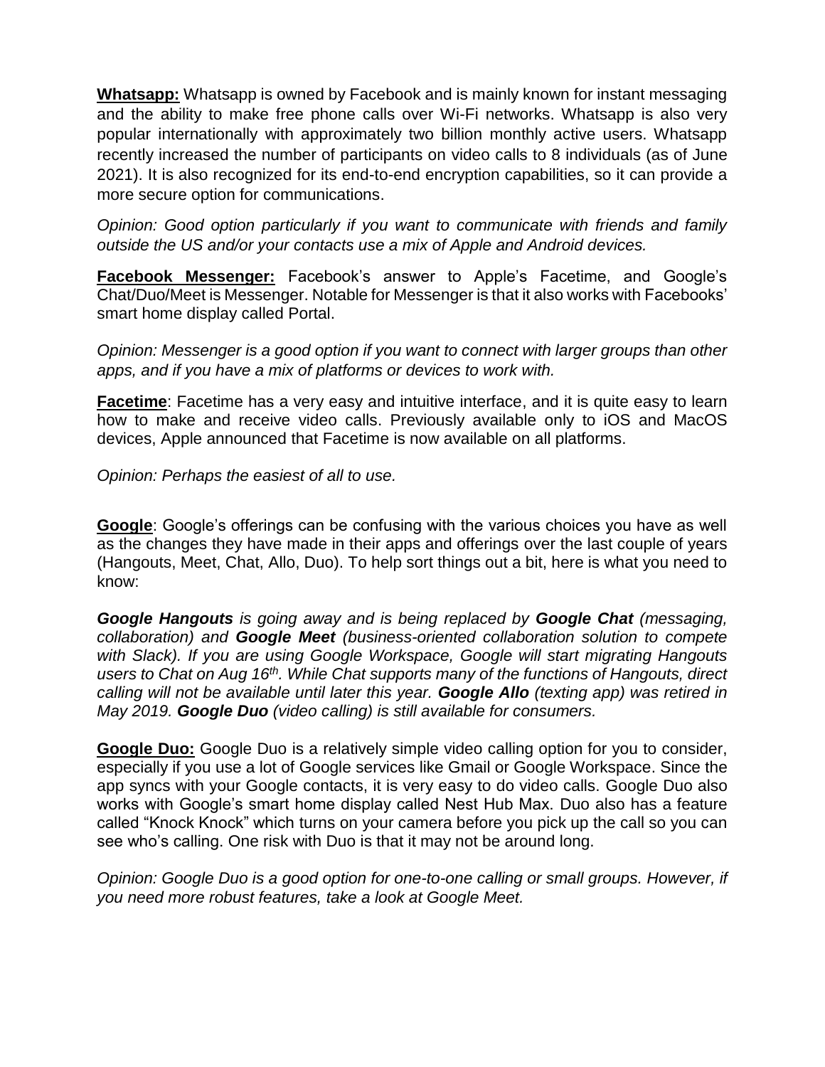**Whatsapp:** Whatsapp is owned by Facebook and is mainly known for instant messaging and the ability to make free phone calls over Wi-Fi networks. Whatsapp is also very popular internationally with approximately two billion monthly active users. Whatsapp recently increased the number of participants on video calls to 8 individuals (as of June 2021). It is also recognized for its end-to-end encryption capabilities, so it can provide a more secure option for communications.

*Opinion: Good option particularly if you want to communicate with friends and family outside the US and/or your contacts use a mix of Apple and Android devices.*

**Facebook Messenger:** Facebook's answer to Apple's Facetime, and Google's Chat/Duo/Meet is Messenger. Notable for Messenger is that it also works with Facebooks' smart home display called Portal.

*Opinion: Messenger is a good option if you want to connect with larger groups than other apps, and if you have a mix of platforms or devices to work with.* 

**Facetime**: Facetime has a very easy and intuitive interface, and it is quite easy to learn how to make and receive video calls. Previously available only to iOS and MacOS devices, Apple announced that Facetime is now available on all platforms.

*Opinion: Perhaps the easiest of all to use.*

**Google**: Google's offerings can be confusing with the various choices you have as well as the changes they have made in their apps and offerings over the last couple of years (Hangouts, Meet, Chat, Allo, Duo). To help sort things out a bit, here is what you need to know:

*Google Hangouts is going away and is being replaced by Google Chat (messaging, collaboration) and Google Meet (business-oriented collaboration solution to compete with Slack). If you are using Google Workspace, Google will start migrating Hangouts users to Chat on Aug 16th. While Chat supports many of the functions of Hangouts, direct calling will not be available until later this year. Google Allo (texting app) was retired in May 2019. Google Duo (video calling) is still available for consumers.*

**Google Duo:** Google Duo is a relatively simple video calling option for you to consider, especially if you use a lot of Google services like Gmail or Google Workspace. Since the app syncs with your Google contacts, it is very easy to do video calls. Google Duo also works with Google's smart home display called Nest Hub Max. Duo also has a feature called "Knock Knock" which turns on your camera before you pick up the call so you can see who's calling. One risk with Duo is that it may not be around long.

*Opinion: Google Duo is a good option for one-to-one calling or small groups. However, if you need more robust features, take a look at Google Meet.*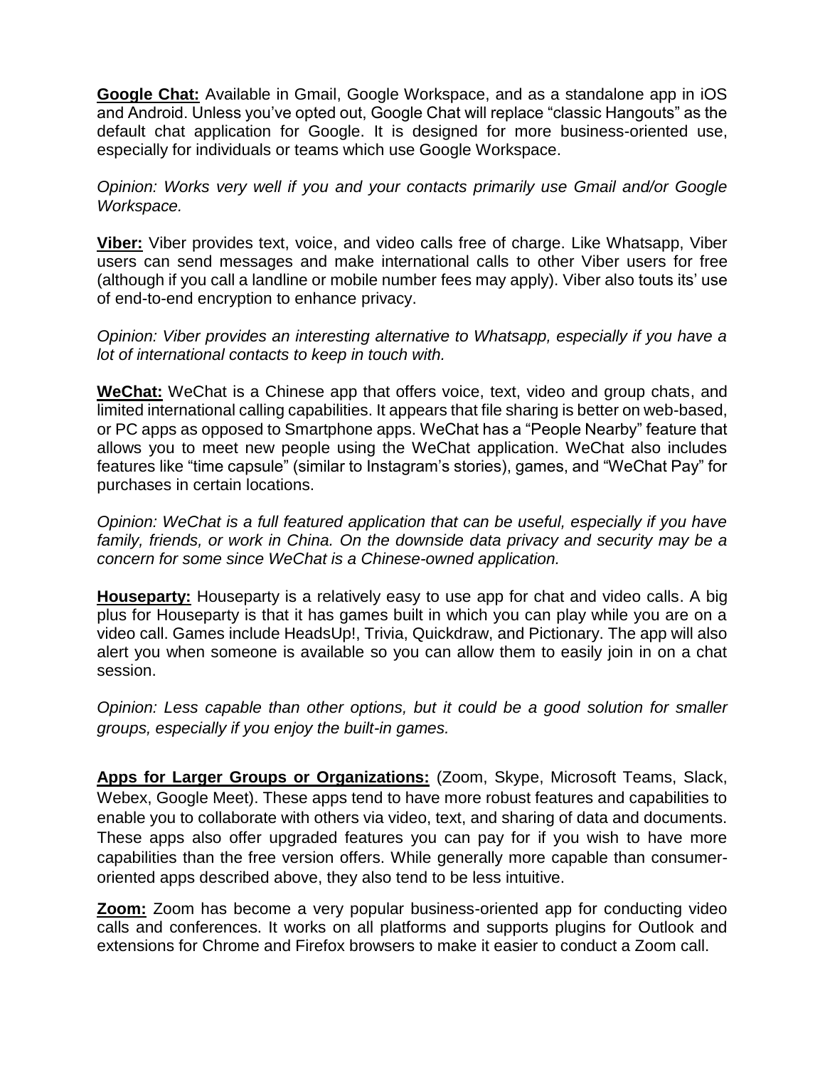**Google Chat:** Available in Gmail, Google Workspace, and as a standalone app in iOS and Android. Unless you've opted out, Google Chat will replace "classic Hangouts" as the default chat application for Google. It is designed for more business-oriented use, especially for individuals or teams which use Google Workspace.

*Opinion: Works very well if you and your contacts primarily use Gmail and/or Google Workspace.*

**Viber:** Viber provides text, voice, and video calls free of charge. Like Whatsapp, Viber users can send messages and make international calls to other Viber users for free (although if you call a landline or mobile number fees may apply). Viber also touts its' use of end-to-end encryption to enhance privacy.

*Opinion: Viber provides an interesting alternative to Whatsapp, especially if you have a lot of international contacts to keep in touch with.*

**WeChat:** WeChat is a Chinese app that offers voice, text, video and group chats, and limited international calling capabilities. It appears that file sharing is better on web-based, or PC apps as opposed to Smartphone apps. WeChat has a "People Nearby" feature that allows you to meet new people using the WeChat application. WeChat also includes features like "time capsule" (similar to Instagram's stories), games, and "WeChat Pay" for purchases in certain locations.

*Opinion: WeChat is a full featured application that can be useful, especially if you have family, friends, or work in China. On the downside data privacy and security may be a concern for some since WeChat is a Chinese-owned application.*

**Houseparty:** Houseparty is a relatively easy to use app for chat and video calls. A big plus for Houseparty is that it has games built in which you can play while you are on a video call. Games include HeadsUp!, Trivia, Quickdraw, and Pictionary. The app will also alert you when someone is available so you can allow them to easily join in on a chat session.

*Opinion: Less capable than other options, but it could be a good solution for smaller groups, especially if you enjoy the built-in games.*

**Apps for Larger Groups or Organizations:** (Zoom, Skype, Microsoft Teams, Slack, Webex, Google Meet). These apps tend to have more robust features and capabilities to enable you to collaborate with others via video, text, and sharing of data and documents. These apps also offer upgraded features you can pay for if you wish to have more capabilities than the free version offers. While generally more capable than consumeroriented apps described above, they also tend to be less intuitive.

**Zoom:** Zoom has become a very popular business-oriented app for conducting video calls and conferences. It works on all platforms and supports plugins for Outlook and extensions for Chrome and Firefox browsers to make it easier to conduct a Zoom call.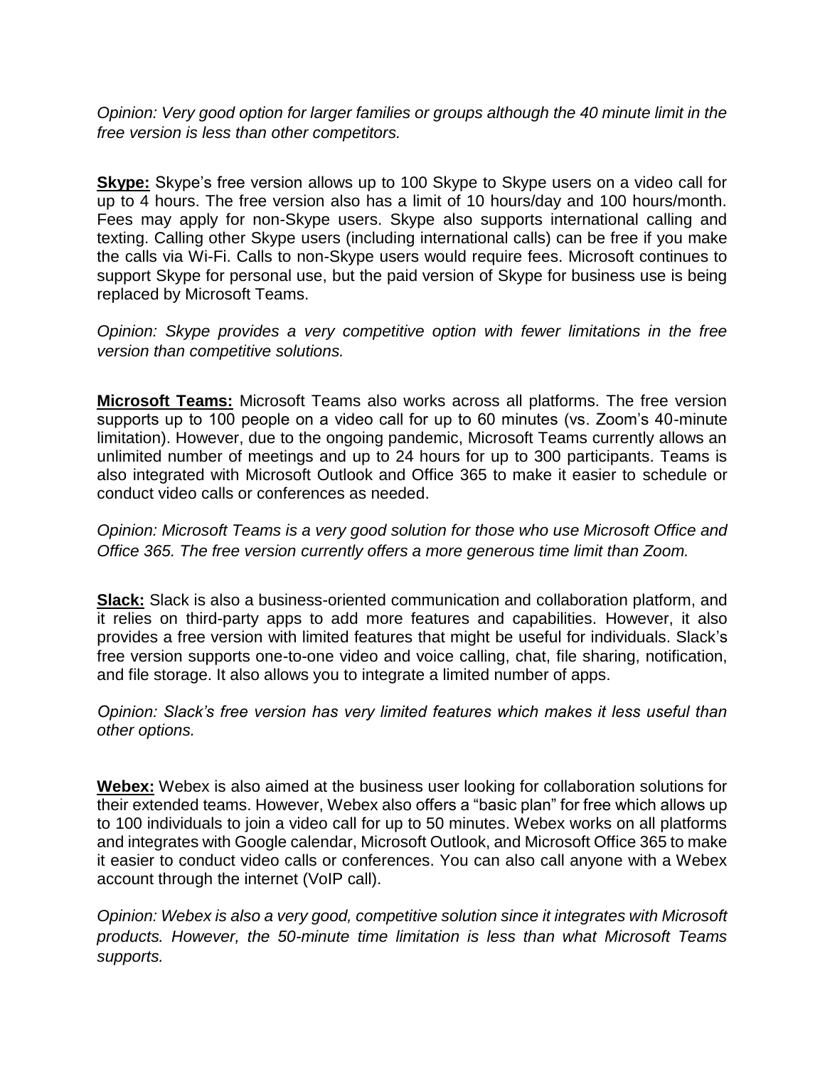*Opinion: Very good option for larger families or groups although the 40 minute limit in the free version is less than other competitors.* 

**Skype:** Skype's free version allows up to 100 Skype to Skype users on a video call for up to 4 hours. The free version also has a limit of 10 hours/day and 100 hours/month. Fees may apply for non-Skype users. Skype also supports international calling and texting. Calling other Skype users (including international calls) can be free if you make the calls via Wi-Fi. Calls to non-Skype users would require fees. Microsoft continues to support Skype for personal use, but the paid version of Skype for business use is being replaced by Microsoft Teams.

*Opinion: Skype provides a very competitive option with fewer limitations in the free version than competitive solutions.* 

**Microsoft Teams:** Microsoft Teams also works across all platforms. The free version supports up to 100 people on a video call for up to 60 minutes (vs. Zoom's 40-minute limitation). However, due to the ongoing pandemic, Microsoft Teams currently allows an unlimited number of meetings and up to 24 hours for up to 300 participants. Teams is also integrated with Microsoft Outlook and Office 365 to make it easier to schedule or conduct video calls or conferences as needed.

*Opinion: Microsoft Teams is a very good solution for those who use Microsoft Office and Office 365. The free version currently offers a more generous time limit than Zoom.*

**Slack:** Slack is also a business-oriented communication and collaboration platform, and it relies on third-party apps to add more features and capabilities. However, it also provides a free version with limited features that might be useful for individuals. Slack's free version supports one-to-one video and voice calling, chat, file sharing, notification, and file storage. It also allows you to integrate a limited number of apps.

*Opinion: Slack's free version has very limited features which makes it less useful than other options.*

**Webex:** Webex is also aimed at the business user looking for collaboration solutions for their extended teams. However, Webex also offers a "basic plan" for free which allows up to 100 individuals to join a video call for up to 50 minutes. Webex works on all platforms and integrates with Google calendar, Microsoft Outlook, and Microsoft Office 365 to make it easier to conduct video calls or conferences. You can also call anyone with a Webex account through the internet (VoIP call).

*Opinion: Webex is also a very good, competitive solution since it integrates with Microsoft products. However, the 50-minute time limitation is less than what Microsoft Teams supports.*